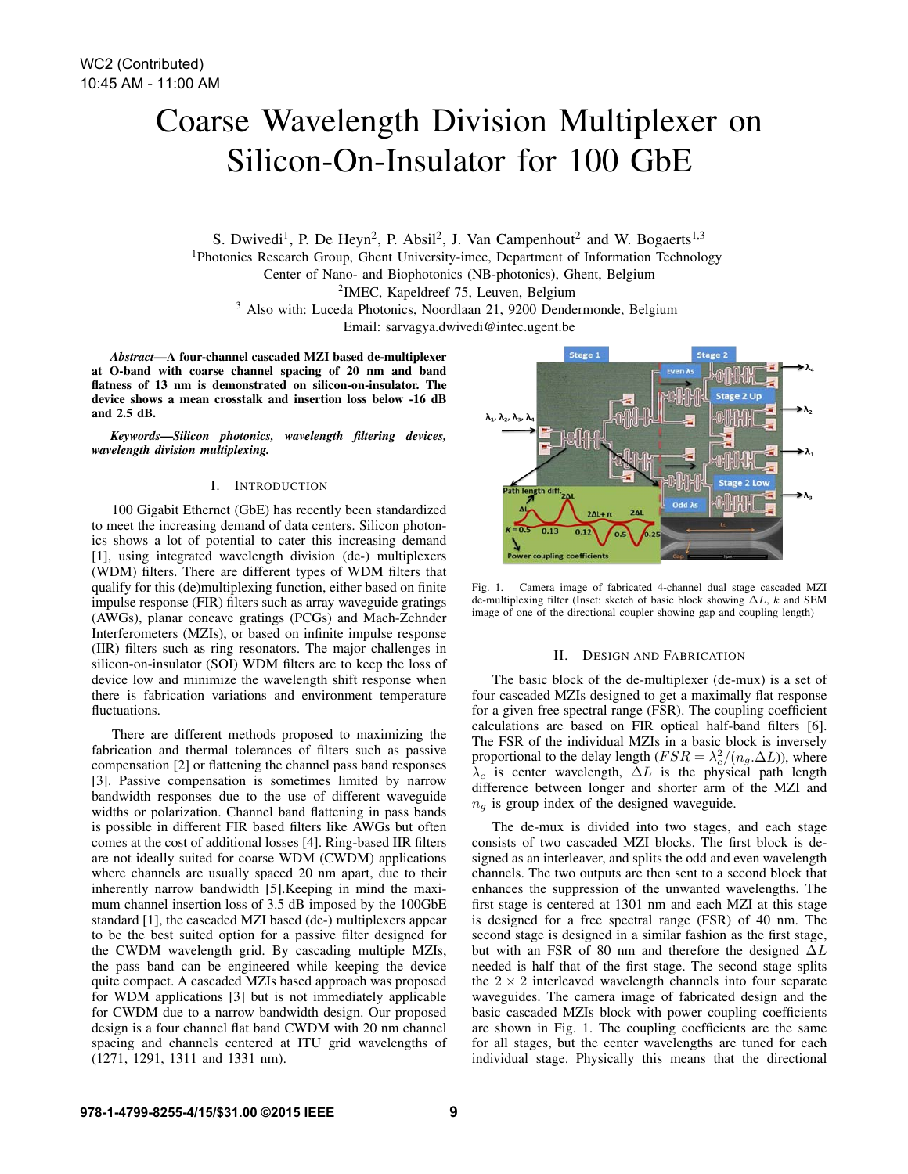# Coarse Wavelength Division Multiplexer on Silicon-On-Insulator for 100 GbE

S. Dwivedi<sup>1</sup>, P. De Heyn<sup>2</sup>, P. Absil<sup>2</sup>, J. Van Campenhout<sup>2</sup> and W. Bogaerts<sup>1,3</sup> 1Photonics Research Group, Ghent University-imec, Department of Information Technology Center of Nano- and Biophotonics (NB-photonics), Ghent, Belgium 2IMEC, Kapeldreef 75, Leuven, Belgium <sup>3</sup> Also with: Luceda Photonics, Noordlaan 21, 9200 Dendermonde, Belgium

Email: sarvagya.dwivedi@intec.ugent.be

*Abstract*—A four-channel cascaded MZI based de-multiplexer at O-band with coarse channel spacing of 20 nm and band flatness of 13 nm is demonstrated on silicon-on-insulator. The device shows a mean crosstalk and insertion loss below -16 dB and 2.5 dB.

*Keywords*—*Silicon photonics, wavelength filtering devices, wavelength division multiplexing.*

## I. INTRODUCTION

100 Gigabit Ethernet (GbE) has recently been standardized to meet the increasing demand of data centers. Silicon photonics shows a lot of potential to cater this increasing demand [1], using integrated wavelength division (de-) multiplexers (WDM) filters. There are different types of WDM filters that qualify for this (de)multiplexing function, either based on finite impulse response (FIR) filters such as array waveguide gratings (AWGs), planar concave gratings (PCGs) and Mach-Zehnder Interferometers (MZIs), or based on infinite impulse response (IIR) filters such as ring resonators. The major challenges in silicon-on-insulator (SOI) WDM filters are to keep the loss of device low and minimize the wavelength shift response when there is fabrication variations and environment temperature fluctuations.

There are different methods proposed to maximizing the fabrication and thermal tolerances of filters such as passive compensation [2] or flattening the channel pass band responses [3]. Passive compensation is sometimes limited by narrow bandwidth responses due to the use of different waveguide widths or polarization. Channel band flattening in pass bands is possible in different FIR based filters like AWGs but often comes at the cost of additional losses [4]. Ring-based IIR filters are not ideally suited for coarse WDM (CWDM) applications where channels are usually spaced 20 nm apart, due to their inherently narrow bandwidth [5].Keeping in mind the maximum channel insertion loss of 3.5 dB imposed by the 100GbE standard [1], the cascaded MZI based (de-) multiplexers appear to be the best suited option for a passive filter designed for the CWDM wavelength grid. By cascading multiple MZIs, the pass band can be engineered while keeping the device quite compact. A cascaded MZIs based approach was proposed for WDM applications [3] but is not immediately applicable for CWDM due to a narrow bandwidth design. Our proposed design is a four channel flat band CWDM with 20 nm channel spacing and channels centered at ITU grid wavelengths of (1271, 1291, 1311 and 1331 nm).



Fig. 1. Camera image of fabricated 4-channel dual stage cascaded MZI de-multiplexing filter (Inset: sketch of basic block showing ∆L, k and SEM image of one of the directional coupler showing gap and coupling length)

#### II. DESIGN AND FABRICATION

The basic block of the de-multiplexer (de-mux) is a set of four cascaded MZIs designed to get a maximally flat response for a given free spectral range (FSR). The coupling coefficient calculations are based on FIR optical half-band filters [6]. The FSR of the individual MZIs in a basic block is inversely proportional to the delay length ( $FSR = \lambda_c^2/(n_g.\Delta L)$ ), where  $\lambda_c$  is center wavelength,  $\Delta L$  is the physical path length difference between longer and shorter arm of the MZI and  $n_q$  is group index of the designed waveguide.

The de-mux is divided into two stages, and each stage consists of two cascaded MZI blocks. The first block is designed as an interleaver, and splits the odd and even wavelength channels. The two outputs are then sent to a second block that enhances the suppression of the unwanted wavelengths. The first stage is centered at 1301 nm and each MZI at this stage is designed for a free spectral range (FSR) of 40 nm. The second stage is designed in a similar fashion as the first stage, but with an FSR of 80 nm and therefore the designed  $\Delta L$ needed is half that of the first stage. The second stage splits the  $2 \times 2$  interleaved wavelength channels into four separate waveguides. The camera image of fabricated design and the basic cascaded MZIs block with power coupling coefficients are shown in Fig. 1. The coupling coefficients are the same for all stages, but the center wavelengths are tuned for each individual stage. Physically this means that the directional